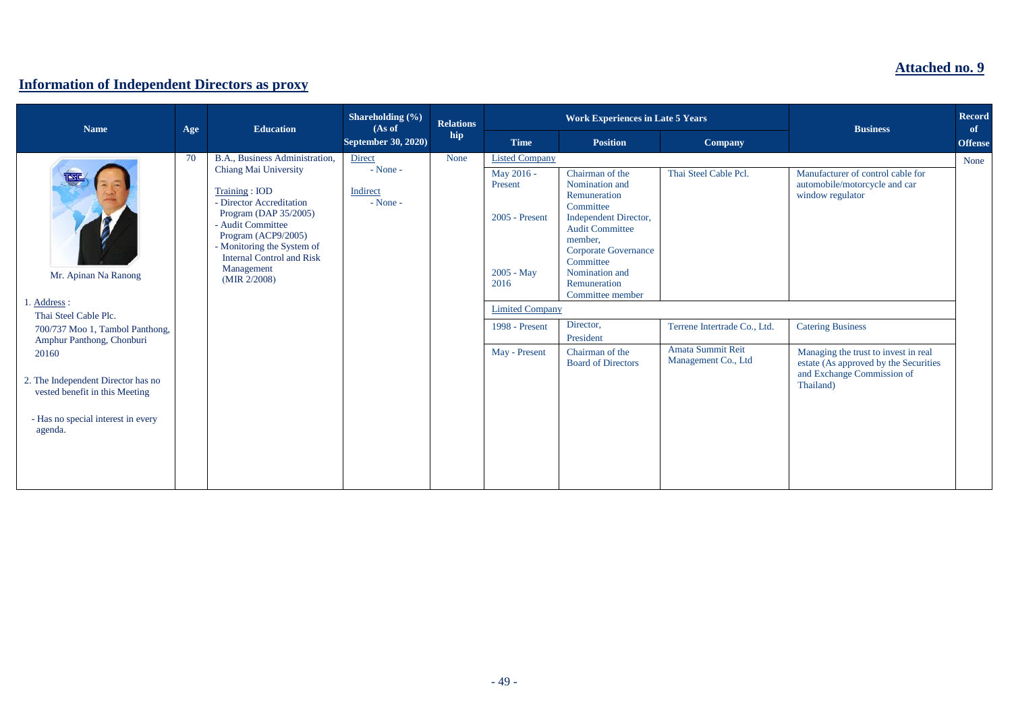## **Attached no. 9**

## **Information of Independent Directors as proxy**

| <b>Name</b>                                                                                                                                                                                                                                                         | Age | <b>Education</b>                                                                                                                                                                                                                                                          | Shareholding (%)<br>(As of<br>September 30, 2020) | <b>Relations</b><br>hip | <b>Work Experiences in Late 5 Years</b>                                                                                                               |                                                                                                                                                                                                                                                                                                          |                                                                                                   | <b>Business</b>                                                                                                                                                                                                                                | <b>Record</b><br>of |
|---------------------------------------------------------------------------------------------------------------------------------------------------------------------------------------------------------------------------------------------------------------------|-----|---------------------------------------------------------------------------------------------------------------------------------------------------------------------------------------------------------------------------------------------------------------------------|---------------------------------------------------|-------------------------|-------------------------------------------------------------------------------------------------------------------------------------------------------|----------------------------------------------------------------------------------------------------------------------------------------------------------------------------------------------------------------------------------------------------------------------------------------------------------|---------------------------------------------------------------------------------------------------|------------------------------------------------------------------------------------------------------------------------------------------------------------------------------------------------------------------------------------------------|---------------------|
|                                                                                                                                                                                                                                                                     |     |                                                                                                                                                                                                                                                                           |                                                   |                         | <b>Time</b>                                                                                                                                           | <b>Position</b>                                                                                                                                                                                                                                                                                          | <b>Company</b>                                                                                    |                                                                                                                                                                                                                                                | <b>Offense</b>      |
| B<br>Mr. Apinan Na Ranong<br>1. Address:<br>Thai Steel Cable Plc.<br>700/737 Moo 1, Tambol Panthong,<br>Amphur Panthong, Chonburi<br>20160<br>2. The Independent Director has no<br>vested benefit in this Meeting<br>- Has no special interest in every<br>agenda. | 70  | B.A., Business Administration.<br>Chiang Mai University<br>Training: IOD<br>- Director Accreditation<br>Program (DAP 35/2005)<br>- Audit Committee<br>Program (ACP9/2005)<br>- Monitoring the System of<br><b>Internal Control and Risk</b><br>Management<br>(MIR 2/2008) | Direct<br>$-$ None $-$<br>Indirect<br>$-None -$   | None                    | <b>Listed Company</b><br>May 2016 -<br>Present<br>2005 - Present<br>$2005 - May$<br>2016<br><b>Limited Company</b><br>1998 - Present<br>May - Present | Chairman of the<br>Nomination and<br>Remuneration<br>Committee<br>Independent Director,<br><b>Audit Committee</b><br>member,<br><b>Corporate Governance</b><br>Committee<br>Nomination and<br>Remuneration<br>Committee member<br>Director,<br>President<br>Chairman of the<br><b>Board of Directors</b> | Thai Steel Cable Pcl.<br>Terrene Intertrade Co., Ltd.<br>Amata Summit Reit<br>Management Co., Ltd | Manufacturer of control cable for<br>automobile/motorcycle and car<br>window regulator<br><b>Catering Business</b><br>Managing the trust to invest in real<br>estate (As approved by the Securities<br>and Exchange Commission of<br>Thailand) | None                |